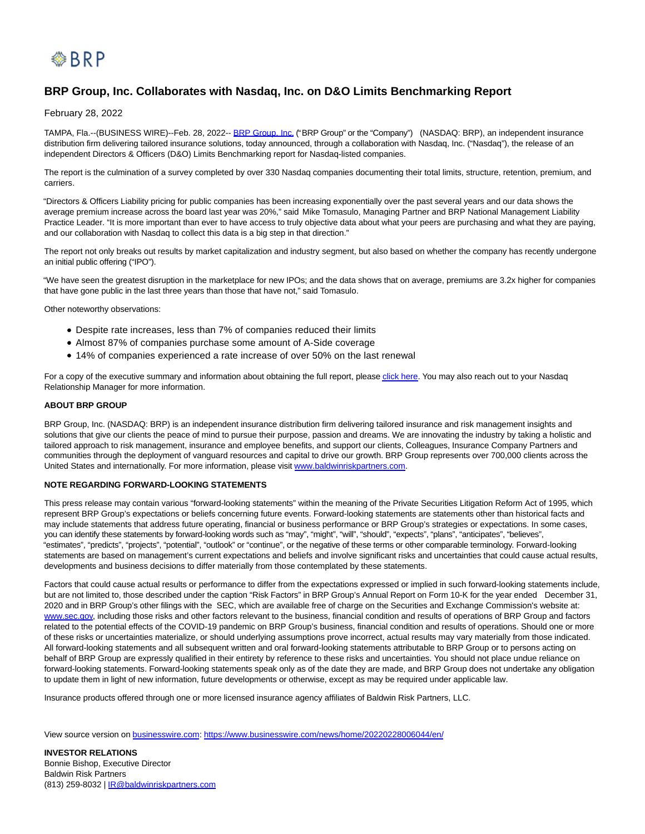

## **BRP Group, Inc. Collaborates with Nasdaq, Inc. on D&O Limits Benchmarking Report**

February 28, 2022

TAMPA, Fla.--(BUSINESS WIRE)--Feb. 28, 2022-- [BRP Group, Inc. \(](https://cts.businesswire.com/ct/CT?id=smartlink&url=https%3A%2F%2Fbaldwinriskpartners.com%2F&esheet=52586830&newsitemid=20220228006044&lan=en-US&anchor=BRP+Group%2C+Inc.&index=1&md5=e0f6da85c9a40f76674673e5501b44f8)"BRP Group" or the "Company") (NASDAQ: BRP), an independent insurance distribution firm delivering tailored insurance solutions, today announced, through a collaboration with Nasdaq, Inc. ("Nasdaq"), the release of an independent Directors & Officers (D&O) Limits Benchmarking report for Nasdaq-listed companies.

The report is the culmination of a survey completed by over 330 Nasdaq companies documenting their total limits, structure, retention, premium, and carriers.

"Directors & Officers Liability pricing for public companies has been increasing exponentially over the past several years and our data shows the average premium increase across the board last year was 20%," said Mike Tomasulo, Managing Partner and BRP National Management Liability Practice Leader. "It is more important than ever to have access to truly objective data about what your peers are purchasing and what they are paying, and our collaboration with Nasdaq to collect this data is a big step in that direction."

The report not only breaks out results by market capitalization and industry segment, but also based on whether the company has recently undergone an initial public offering ("IPO").

"We have seen the greatest disruption in the marketplace for new IPOs; and the data shows that on average, premiums are 3.2x higher for companies that have gone public in the last three years than those that have not," said Tomasulo.

Other noteworthy observations:

- Despite rate increases, less than 7% of companies reduced their limits
- Almost 87% of companies purchase some amount of A-Side coverage
- 14% of companies experienced a rate increase of over 50% on the last renewal

For a copy of the executive summary and information about obtaining the full report, pleas[e click here.](https://cts.businesswire.com/ct/CT?id=smartlink&url=http%3A%2F%2Fgo.pardot.com%2Fl%2F369451%2F2022-02-14%2Fnb5cw&esheet=52586830&newsitemid=20220228006044&lan=en-US&anchor=click+here&index=2&md5=baed9453aea5aa9f8a7f203d7b87c7ef) You may also reach out to your Nasdaq Relationship Manager for more information.

## **ABOUT BRP GROUP**

BRP Group, Inc. (NASDAQ: BRP) is an independent insurance distribution firm delivering tailored insurance and risk management insights and solutions that give our clients the peace of mind to pursue their purpose, passion and dreams. We are innovating the industry by taking a holistic and tailored approach to risk management, insurance and employee benefits, and support our clients, Colleagues, Insurance Company Partners and communities through the deployment of vanguard resources and capital to drive our growth. BRP Group represents over 700,000 clients across the United States and internationally. For more information, please visit [www.baldwinriskpartners.com.](https://cts.businesswire.com/ct/CT?id=smartlink&url=http%3A%2F%2Fwww.baldwinriskpartners.com&esheet=52586830&newsitemid=20220228006044&lan=en-US&anchor=www.baldwinriskpartners.com&index=3&md5=6417ebb57a0b783640b4bf55ad7a52f8)

## **NOTE REGARDING FORWARD-LOOKING STATEMENTS**

This press release may contain various "forward-looking statements" within the meaning of the Private Securities Litigation Reform Act of 1995, which represent BRP Group's expectations or beliefs concerning future events. Forward-looking statements are statements other than historical facts and may include statements that address future operating, financial or business performance or BRP Group's strategies or expectations. In some cases, you can identify these statements by forward-looking words such as "may", "might", "will", "should", "expects", "plans", "anticipates", "believes", "estimates", "predicts", "projects", "potential", "outlook" or "continue", or the negative of these terms or other comparable terminology. Forward-looking statements are based on management's current expectations and beliefs and involve significant risks and uncertainties that could cause actual results, developments and business decisions to differ materially from those contemplated by these statements.

Factors that could cause actual results or performance to differ from the expectations expressed or implied in such forward-looking statements include, but are not limited to, those described under the caption "Risk Factors" in BRP Group's Annual Report on Form 10-K for the year ended December 31, 2020 and in BRP Group's other filings with the SEC, which are available free of charge on the Securities and Exchange Commission's website at: [www.sec.gov,](https://cts.businesswire.com/ct/CT?id=smartlink&url=https%3A%2F%2Fwww.globenewswire.com%2FTracker%3Fdata%3Dsjd9x5XDjhW4ffu94Alu85_3EFnIxeYZ8KL4e999gb05EHjrWWGYC8JUjCYk-2eae2aYM6kxsMIrAjGOUha0LbrrcE4qMsarGafnLw7ztU3zeADe05OkWex5JETyfPBBtyS-5xr-BGbrWKZt83ZL4w%3D%3D&esheet=52586830&newsitemid=20220228006044&lan=en-US&anchor=www.sec.gov&index=4&md5=b76301c4411a02192cee9608fc8c6d57) including those risks and other factors relevant to the business, financial condition and results of operations of BRP Group and factors related to the potential effects of the COVID-19 pandemic on BRP Group's business, financial condition and results of operations. Should one or more of these risks or uncertainties materialize, or should underlying assumptions prove incorrect, actual results may vary materially from those indicated. All forward-looking statements and all subsequent written and oral forward-looking statements attributable to BRP Group or to persons acting on behalf of BRP Group are expressly qualified in their entirety by reference to these risks and uncertainties. You should not place undue reliance on forward-looking statements. Forward-looking statements speak only as of the date they are made, and BRP Group does not undertake any obligation to update them in light of new information, future developments or otherwise, except as may be required under applicable law.

Insurance products offered through one or more licensed insurance agency affiliates of Baldwin Risk Partners, LLC.

View source version on [businesswire.com:](http://businesswire.com/)<https://www.businesswire.com/news/home/20220228006044/en/>

**INVESTOR RELATIONS** Bonnie Bishop, Executive Director Baldwin Risk Partners (813) 259-8032 | [IR@baldwinriskpartners.com](mailto:IR@baldwinriskpartners.com)